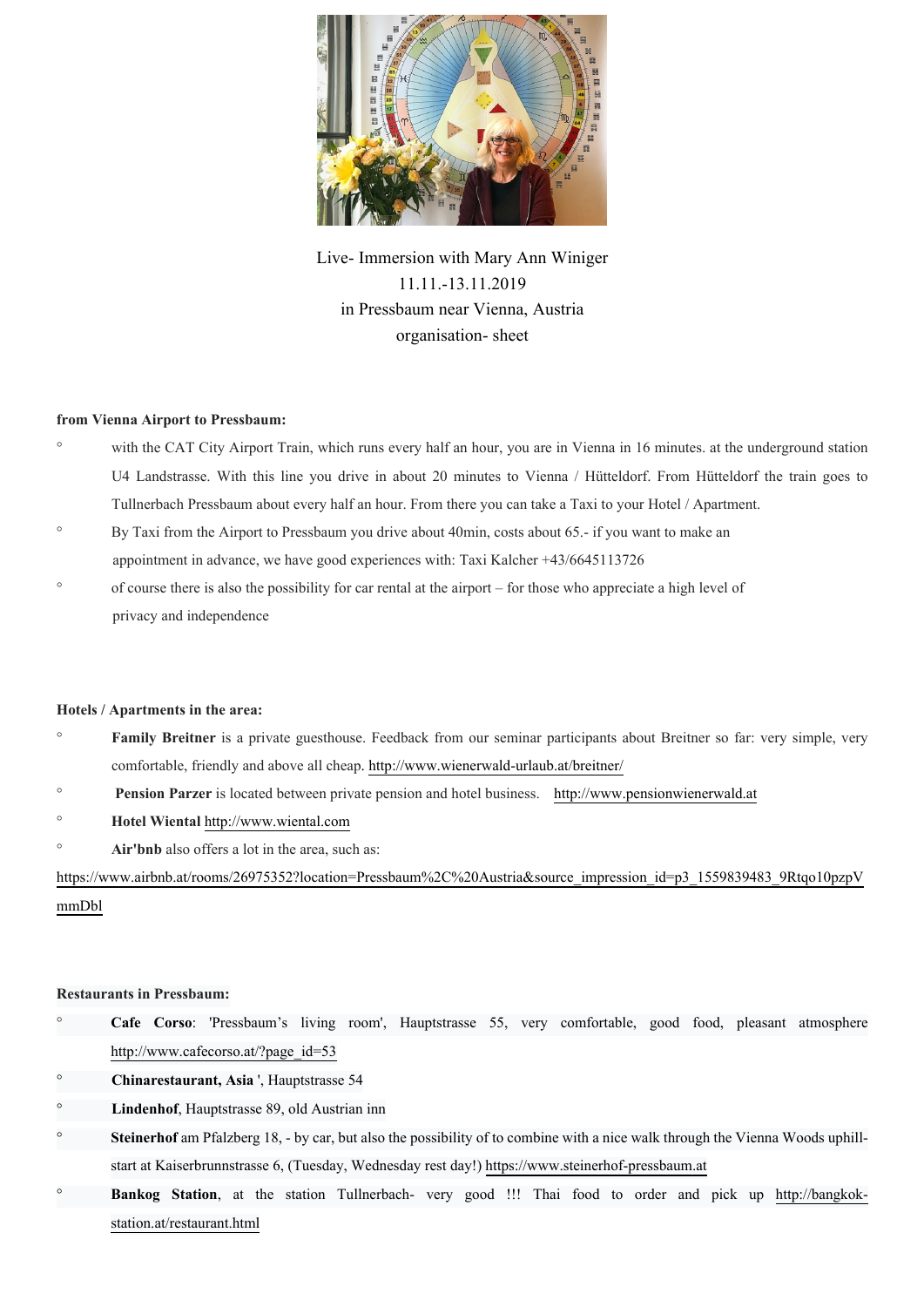

Live- Immersion with Mary Ann Winiger 11.11.-13.11.2019 in Pressbaum near Vienna, Austria organisation- sheet

## **from Vienna Airport to Pressbaum:**

- ° with the CAT City Airport Train, which runs every half an hour, you are in Vienna in 16 minutes. at the underground station U4 Landstrasse. With this line you drive in about 20 minutes to Vienna / Hütteldorf. From Hütteldorf the train goes to Tullnerbach Pressbaum about every half an hour. From there you can take a Taxi to your Hotel / Apartment.
- ° By Taxi from the Airport to Pressbaum you drive about 40min, costs about 65.- if you want to make an appointment in advance, we have good experiences with: Taxi Kalcher +43/6645113726
- ° of course there is also the possibility for car rental at the airport for those who appreciate a high level of privacy and independence

## **Hotels / Apartments in the area:**

- <sup>o</sup> **Family Breitner** is a private guesthouse. Feedback from our seminar participants about Breitner so far: very simple, very comfortable, friendly and above all cheap. http://www.wienerwald-urlaub.at/breitner/
- ° **Pension Parzer** is located between private pension and hotel business. http://www.pensionwienerwald.at
- ° **Hotel Wiental** http://www.wiental.com
- ° **Air'bnb** also offers a lot in the area, such as:

https://www.airbnb.at/rooms/26975352?location=Pressbaum%2C%20Austria&source\_impression\_id=p3\_1559839483\_9Rtqo10pzpV mmDbl

## **Restaurants in Pressbaum:**

- ° **Cafe Corso**: 'Pressbaum's living room', Hauptstrasse 55, very comfortable, good food, pleasant atmosphere http://www.cafecorso.at/?page\_id=53
- ° **Chinarestaurant, Asia** ', Hauptstrasse 54
- Lindenhof, Hauptstrasse 89, old Austrian inn
- **Steinerhof** am Pfalzberg 18, by car, but also the possibility of to combine with a nice walk through the Vienna Woods uphillstart at Kaiserbrunnstrasse 6, (Tuesday, Wednesday rest day!) https://www.steinerhof-pressbaum.at
- Bankog Station, at the station Tullnerbach- very good !!! Thai food to order and pick up http://bangkokstation.at/restaurant.html